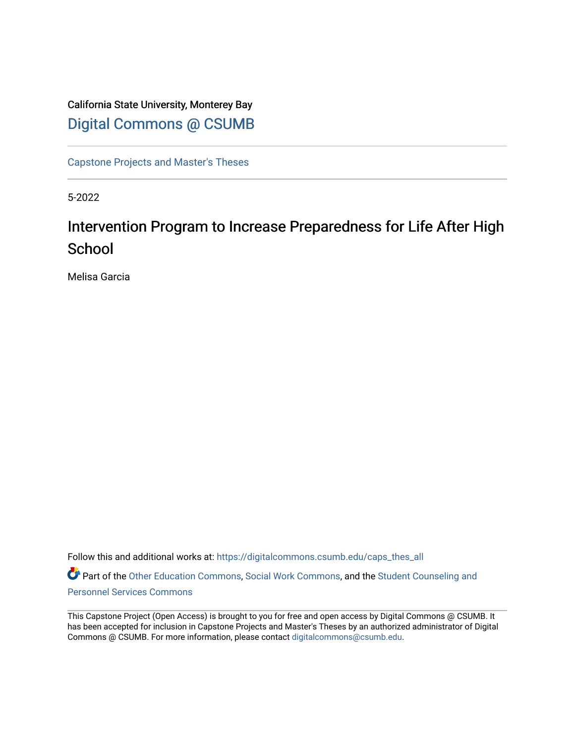## California State University, Monterey Bay [Digital Commons @ CSUMB](https://digitalcommons.csumb.edu/)

[Capstone Projects and Master's Theses](https://digitalcommons.csumb.edu/caps_thes_all)

5-2022

# Intervention Program to Increase Preparedness for Life After High **School**

Melisa Garcia

Follow this and additional works at: [https://digitalcommons.csumb.edu/caps\\_thes\\_all](https://digitalcommons.csumb.edu/caps_thes_all?utm_source=digitalcommons.csumb.edu%2Fcaps_thes_all%2F1251&utm_medium=PDF&utm_campaign=PDFCoverPages) Part of the [Other Education Commons,](https://network.bepress.com/hgg/discipline/811?utm_source=digitalcommons.csumb.edu%2Fcaps_thes_all%2F1251&utm_medium=PDF&utm_campaign=PDFCoverPages) [Social Work Commons,](https://network.bepress.com/hgg/discipline/713?utm_source=digitalcommons.csumb.edu%2Fcaps_thes_all%2F1251&utm_medium=PDF&utm_campaign=PDFCoverPages) and the [Student Counseling and](https://network.bepress.com/hgg/discipline/802?utm_source=digitalcommons.csumb.edu%2Fcaps_thes_all%2F1251&utm_medium=PDF&utm_campaign=PDFCoverPages) [Personnel Services Commons](https://network.bepress.com/hgg/discipline/802?utm_source=digitalcommons.csumb.edu%2Fcaps_thes_all%2F1251&utm_medium=PDF&utm_campaign=PDFCoverPages)

This Capstone Project (Open Access) is brought to you for free and open access by Digital Commons @ CSUMB. It has been accepted for inclusion in Capstone Projects and Master's Theses by an authorized administrator of Digital Commons @ CSUMB. For more information, please contact [digitalcommons@csumb.edu](mailto:digitalcommons@csumb.edu).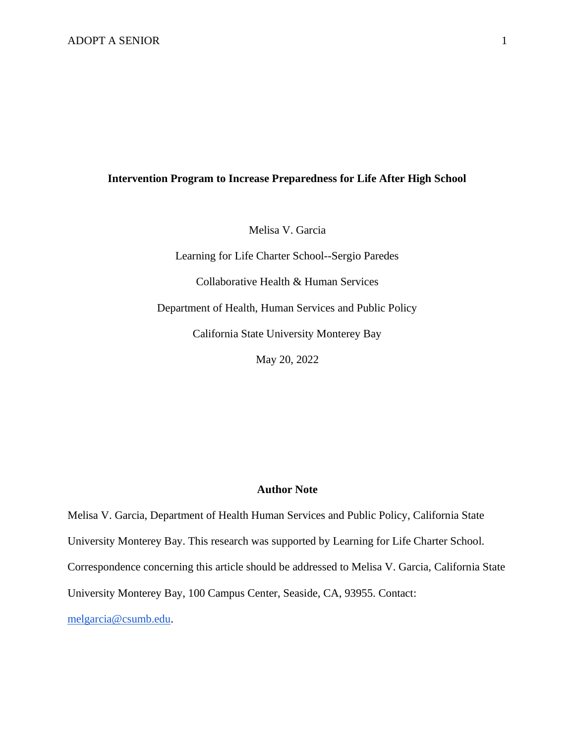### **Intervention Program to Increase Preparedness for Life After High School**

Melisa V. Garcia

Learning for Life Charter School--Sergio Paredes Collaborative Health & Human Services Department of Health, Human Services and Public Policy California State University Monterey Bay

May 20, 2022

#### **Author Note**

Melisa V. Garcia, Department of Health Human Services and Public Policy, California State University Monterey Bay. This research was supported by Learning for Life Charter School. Correspondence concerning this article should be addressed to Melisa V. Garcia, California State University Monterey Bay, 100 Campus Center, Seaside, CA, 93955. Contact:

[melgarcia@csumb.edu.](mailto:melgarcia@csumb.edu)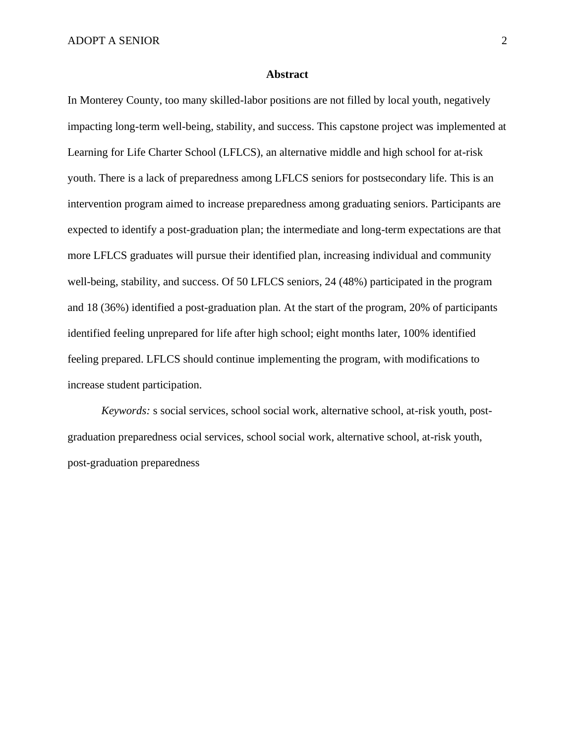#### **Abstract**

In Monterey County, too many skilled-labor positions are not filled by local youth, negatively impacting long-term well-being, stability, and success. This capstone project was implemented at Learning for Life Charter School (LFLCS), an alternative middle and high school for at-risk youth. There is a lack of preparedness among LFLCS seniors for postsecondary life. This is an intervention program aimed to increase preparedness among graduating seniors. Participants are expected to identify a post-graduation plan; the intermediate and long-term expectations are that more LFLCS graduates will pursue their identified plan, increasing individual and community well-being, stability, and success. Of 50 LFLCS seniors, 24 (48%) participated in the program and 18 (36%) identified a post-graduation plan. At the start of the program, 20% of participants identified feeling unprepared for life after high school; eight months later, 100% identified feeling prepared. LFLCS should continue implementing the program, with modifications to increase student participation.

 *Keywords:* s social services, school social work, alternative school, at-risk youth, postgraduation preparedness ocial services, school social work, alternative school, at-risk youth, post-graduation preparedness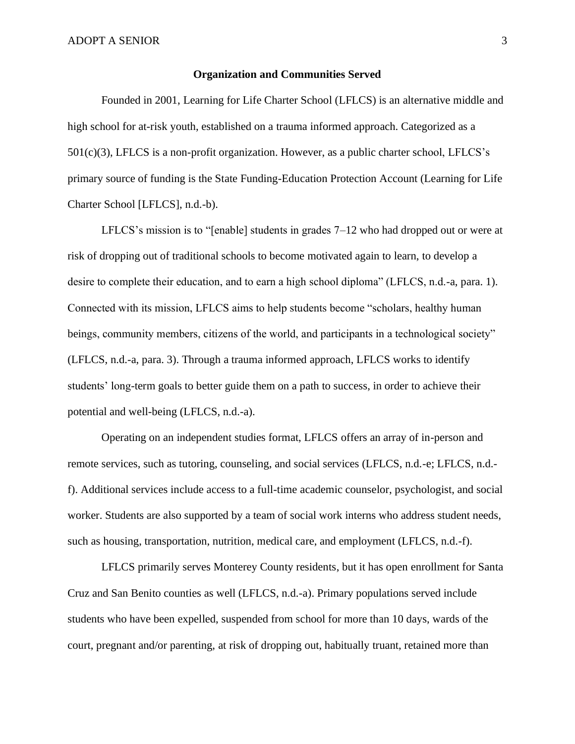#### **Organization and Communities Served**

Founded in 2001, Learning for Life Charter School (LFLCS) is an alternative middle and high school for at-risk youth, established on a trauma informed approach. Categorized as a 501(c)(3), LFLCS is a non-profit organization. However, as a public charter school, LFLCS's primary source of funding is the State Funding-Education Protection Account (Learning for Life Charter School [LFLCS], n.d.-b).

LFLCS's mission is to "[enable] students in grades 7–12 who had dropped out or were at risk of dropping out of traditional schools to become motivated again to learn, to develop a desire to complete their education, and to earn a high school diploma" (LFLCS, n.d.-a, para. 1). Connected with its mission, LFLCS aims to help students become "scholars, healthy human beings, community members, citizens of the world, and participants in a technological society" (LFLCS, n.d.-a, para. 3). Through a trauma informed approach, LFLCS works to identify students' long-term goals to better guide them on a path to success, in order to achieve their potential and well-being (LFLCS, n.d.-a).

Operating on an independent studies format, LFLCS offers an array of in-person and remote services, such as tutoring, counseling, and social services (LFLCS, n.d.-e; LFLCS, n.d. f). Additional services include access to a full-time academic counselor, psychologist, and social worker. Students are also supported by a team of social work interns who address student needs, such as housing, transportation, nutrition, medical care, and employment (LFLCS, n.d.-f).

LFLCS primarily serves Monterey County residents, but it has open enrollment for Santa Cruz and San Benito counties as well (LFLCS, n.d.-a). Primary populations served include students who have been expelled, suspended from school for more than 10 days, wards of the court, pregnant and/or parenting, at risk of dropping out, habitually truant, retained more than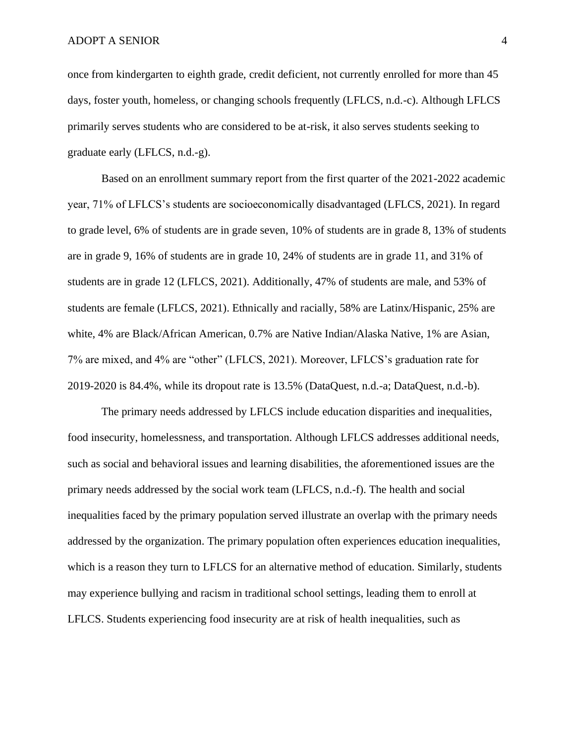once from kindergarten to eighth grade, credit deficient, not currently enrolled for more than 45 days, foster youth, homeless, or changing schools frequently (LFLCS, n.d.-c). Although LFLCS primarily serves students who are considered to be at-risk, it also serves students seeking to graduate early (LFLCS, n.d.-g).

Based on an enrollment summary report from the first quarter of the 2021-2022 academic year, 71% of LFLCS's students are socioeconomically disadvantaged (LFLCS, 2021). In regard to grade level, 6% of students are in grade seven, 10% of students are in grade 8, 13% of students are in grade 9, 16% of students are in grade 10, 24% of students are in grade 11, and 31% of students are in grade 12 (LFLCS, 2021). Additionally, 47% of students are male, and 53% of students are female (LFLCS, 2021). Ethnically and racially, 58% are Latinx/Hispanic, 25% are white, 4% are Black/African American, 0.7% are Native Indian/Alaska Native, 1% are Asian, 7% are mixed, and 4% are "other" (LFLCS, 2021). Moreover, LFLCS's graduation rate for 2019-2020 is 84.4%, while its dropout rate is 13.5% (DataQuest, n.d.-a; DataQuest, n.d.-b).

The primary needs addressed by LFLCS include education disparities and inequalities, food insecurity, homelessness, and transportation. Although LFLCS addresses additional needs, such as social and behavioral issues and learning disabilities, the aforementioned issues are the primary needs addressed by the social work team (LFLCS, n.d.-f). The health and social inequalities faced by the primary population served illustrate an overlap with the primary needs addressed by the organization. The primary population often experiences education inequalities, which is a reason they turn to LFLCS for an alternative method of education. Similarly, students may experience bullying and racism in traditional school settings, leading them to enroll at LFLCS. Students experiencing food insecurity are at risk of health inequalities, such as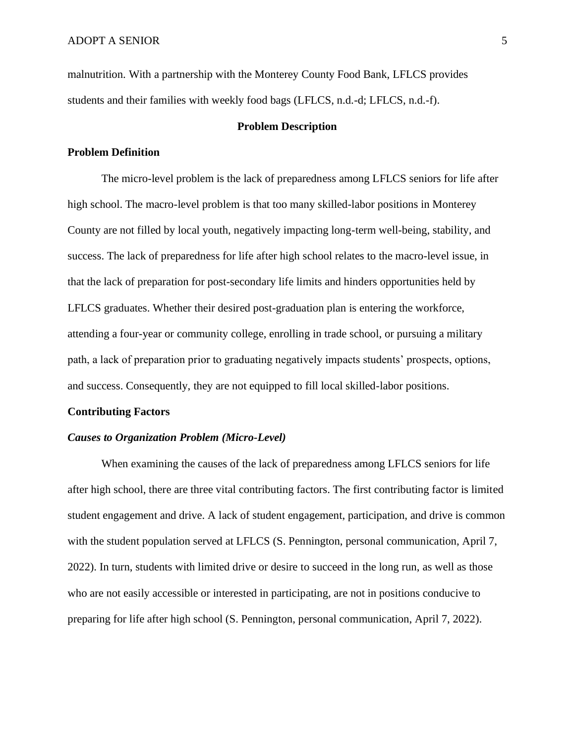malnutrition. With a partnership with the Monterey County Food Bank, LFLCS provides students and their families with weekly food bags (LFLCS, n.d.-d; LFLCS, n.d.-f).

#### **Problem Description**

#### **Problem Definition**

The micro-level problem is the lack of preparedness among LFLCS seniors for life after high school. The macro-level problem is that too many skilled-labor positions in Monterey County are not filled by local youth, negatively impacting long-term well-being, stability, and success. The lack of preparedness for life after high school relates to the macro-level issue, in that the lack of preparation for post-secondary life limits and hinders opportunities held by LFLCS graduates. Whether their desired post-graduation plan is entering the workforce, attending a four-year or community college, enrolling in trade school, or pursuing a military path, a lack of preparation prior to graduating negatively impacts students' prospects, options, and success. Consequently, they are not equipped to fill local skilled-labor positions.

#### **Contributing Factors**

#### *Causes to Organization Problem (Micro-Level)*

When examining the causes of the lack of preparedness among LFLCS seniors for life after high school, there are three vital contributing factors. The first contributing factor is limited student engagement and drive. A lack of student engagement, participation, and drive is common with the student population served at LFLCS (S. Pennington, personal communication, April 7, 2022). In turn, students with limited drive or desire to succeed in the long run, as well as those who are not easily accessible or interested in participating, are not in positions conducive to preparing for life after high school (S. Pennington, personal communication, April 7, 2022).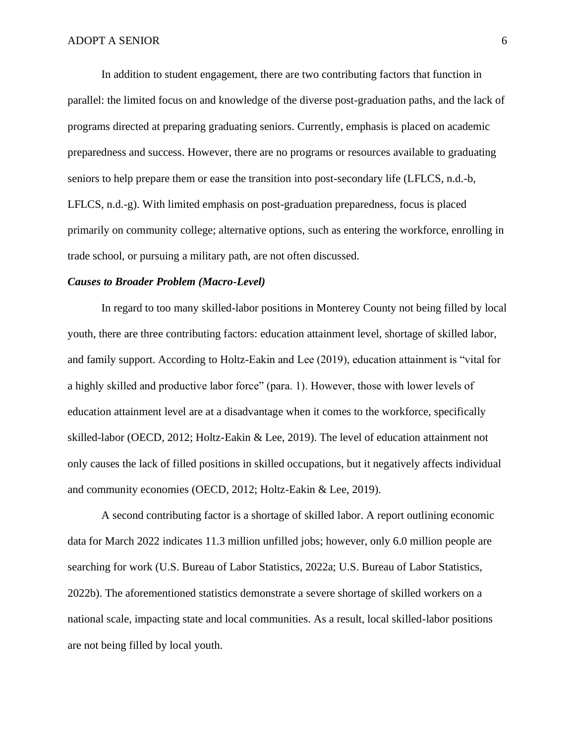In addition to student engagement, there are two contributing factors that function in parallel: the limited focus on and knowledge of the diverse post-graduation paths, and the lack of programs directed at preparing graduating seniors. Currently, emphasis is placed on academic preparedness and success. However, there are no programs or resources available to graduating seniors to help prepare them or ease the transition into post-secondary life (LFLCS, n.d.-b, LFLCS, n.d.-g). With limited emphasis on post-graduation preparedness, focus is placed primarily on community college; alternative options, such as entering the workforce, enrolling in trade school, or pursuing a military path, are not often discussed.

#### *Causes to Broader Problem (Macro-Level)*

In regard to too many skilled-labor positions in Monterey County not being filled by local youth, there are three contributing factors: education attainment level, shortage of skilled labor, and family support. According to Holtz-Eakin and Lee (2019), education attainment is "vital for a highly skilled and productive labor force" (para. 1). However, those with lower levels of education attainment level are at a disadvantage when it comes to the workforce, specifically skilled-labor (OECD, 2012; Holtz-Eakin & Lee, 2019). The level of education attainment not only causes the lack of filled positions in skilled occupations, but it negatively affects individual and community economies (OECD, 2012; Holtz-Eakin & Lee, 2019).

A second contributing factor is a shortage of skilled labor. A report outlining economic data for March 2022 indicates 11.3 million unfilled jobs; however, only 6.0 million people are searching for work (U.S. Bureau of Labor Statistics, 2022a; U.S. Bureau of Labor Statistics, 2022b). The aforementioned statistics demonstrate a severe shortage of skilled workers on a national scale, impacting state and local communities. As a result, local skilled-labor positions are not being filled by local youth.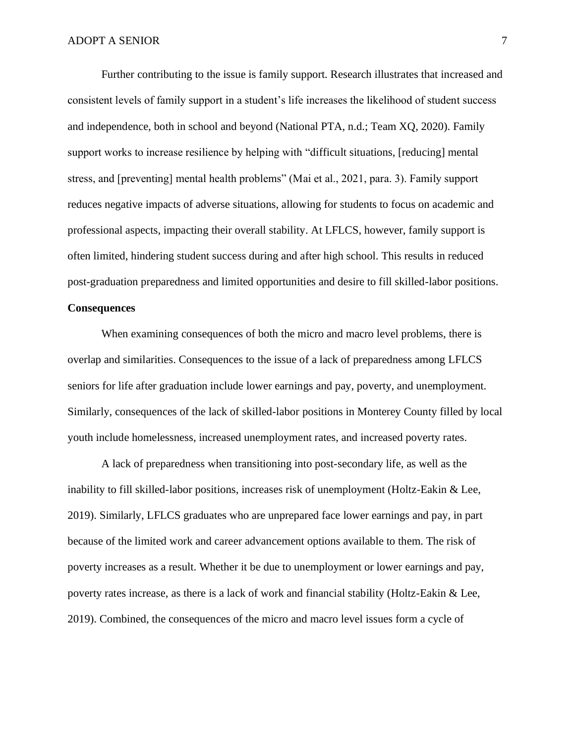Further contributing to the issue is family support. Research illustrates that increased and consistent levels of family support in a student's life increases the likelihood of student success and independence, both in school and beyond (National PTA, n.d.; Team XQ, 2020). Family support works to increase resilience by helping with "difficult situations, [reducing] mental stress, and [preventing] mental health problems" (Mai et al., 2021, para. 3). Family support reduces negative impacts of adverse situations, allowing for students to focus on academic and professional aspects, impacting their overall stability. At LFLCS, however, family support is often limited, hindering student success during and after high school. This results in reduced post-graduation preparedness and limited opportunities and desire to fill skilled-labor positions.

#### **Consequences**

When examining consequences of both the micro and macro level problems, there is overlap and similarities. Consequences to the issue of a lack of preparedness among LFLCS seniors for life after graduation include lower earnings and pay, poverty, and unemployment. Similarly, consequences of the lack of skilled-labor positions in Monterey County filled by local youth include homelessness, increased unemployment rates, and increased poverty rates.

A lack of preparedness when transitioning into post-secondary life, as well as the inability to fill skilled-labor positions, increases risk of unemployment (Holtz-Eakin & Lee, 2019). Similarly, LFLCS graduates who are unprepared face lower earnings and pay, in part because of the limited work and career advancement options available to them. The risk of poverty increases as a result. Whether it be due to unemployment or lower earnings and pay, poverty rates increase, as there is a lack of work and financial stability (Holtz-Eakin & Lee, 2019). Combined, the consequences of the micro and macro level issues form a cycle of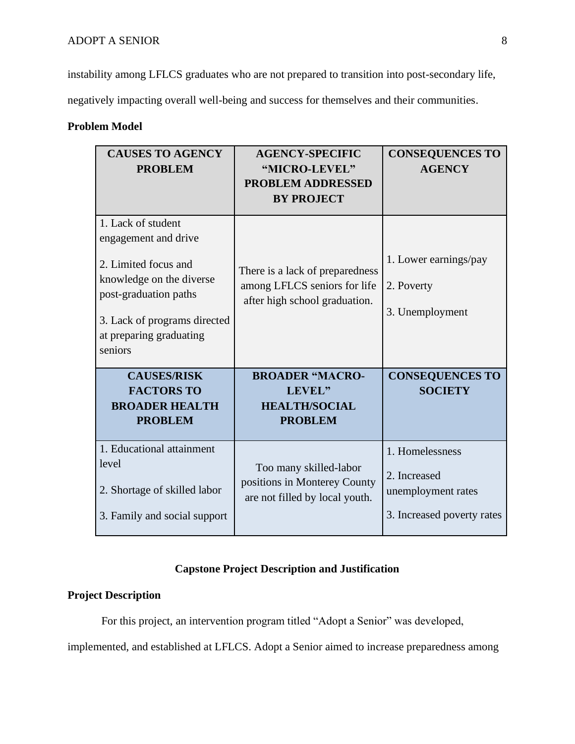instability among LFLCS graduates who are not prepared to transition into post-secondary life,

negatively impacting overall well-being and success for themselves and their communities.

## **Problem Model**

| <b>CAUSES TO AGENCY</b><br><b>PROBLEM</b>                                                                                                                                                     | <b>AGENCY-SPECIFIC</b><br>"MICRO-LEVEL"<br><b>PROBLEM ADDRESSED</b><br><b>BY PROJECT</b>         | <b>CONSEQUENCES TO</b><br><b>AGENCY</b>                                             |
|-----------------------------------------------------------------------------------------------------------------------------------------------------------------------------------------------|--------------------------------------------------------------------------------------------------|-------------------------------------------------------------------------------------|
| 1. Lack of student<br>engagement and drive<br>2. Limited focus and<br>knowledge on the diverse<br>post-graduation paths<br>3. Lack of programs directed<br>at preparing graduating<br>seniors | There is a lack of preparedness<br>among LFLCS seniors for life<br>after high school graduation. | 1. Lower earnings/pay<br>2. Poverty<br>3. Unemployment                              |
| <b>CAUSES/RISK</b><br><b>FACTORS TO</b><br><b>BROADER HEALTH</b><br><b>PROBLEM</b>                                                                                                            | <b>BROADER "MACRO-</b><br>LEVEL"<br><b>HEALTH/SOCIAL</b><br><b>PROBLEM</b>                       | <b>CONSEQUENCES TO</b><br><b>SOCIETY</b>                                            |
| 1. Educational attainment<br>level<br>2. Shortage of skilled labor<br>3. Family and social support                                                                                            | Too many skilled-labor<br>positions in Monterey County<br>are not filled by local youth.         | 1. Homelessness<br>2. Increased<br>unemployment rates<br>3. Increased poverty rates |

### **Capstone Project Description and Justification**

### **Project Description**

For this project, an intervention program titled "Adopt a Senior" was developed,

implemented, and established at LFLCS. Adopt a Senior aimed to increase preparedness among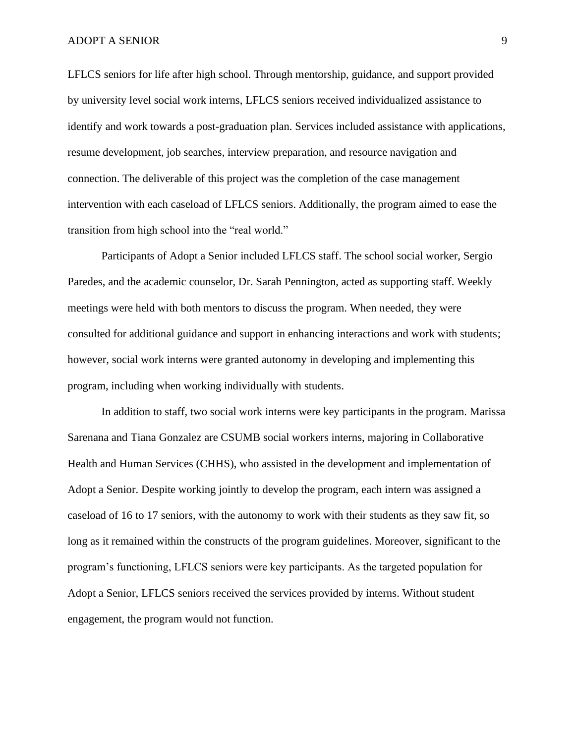LFLCS seniors for life after high school. Through mentorship, guidance, and support provided by university level social work interns, LFLCS seniors received individualized assistance to identify and work towards a post-graduation plan. Services included assistance with applications, resume development, job searches, interview preparation, and resource navigation and connection. The deliverable of this project was the completion of the case management intervention with each caseload of LFLCS seniors. Additionally, the program aimed to ease the transition from high school into the "real world."

Participants of Adopt a Senior included LFLCS staff. The school social worker, Sergio Paredes, and the academic counselor, Dr. Sarah Pennington, acted as supporting staff. Weekly meetings were held with both mentors to discuss the program. When needed, they were consulted for additional guidance and support in enhancing interactions and work with students; however, social work interns were granted autonomy in developing and implementing this program, including when working individually with students.

In addition to staff, two social work interns were key participants in the program. Marissa Sarenana and Tiana Gonzalez are CSUMB social workers interns, majoring in Collaborative Health and Human Services (CHHS), who assisted in the development and implementation of Adopt a Senior. Despite working jointly to develop the program, each intern was assigned a caseload of 16 to 17 seniors, with the autonomy to work with their students as they saw fit, so long as it remained within the constructs of the program guidelines. Moreover, significant to the program's functioning, LFLCS seniors were key participants. As the targeted population for Adopt a Senior, LFLCS seniors received the services provided by interns. Without student engagement, the program would not function.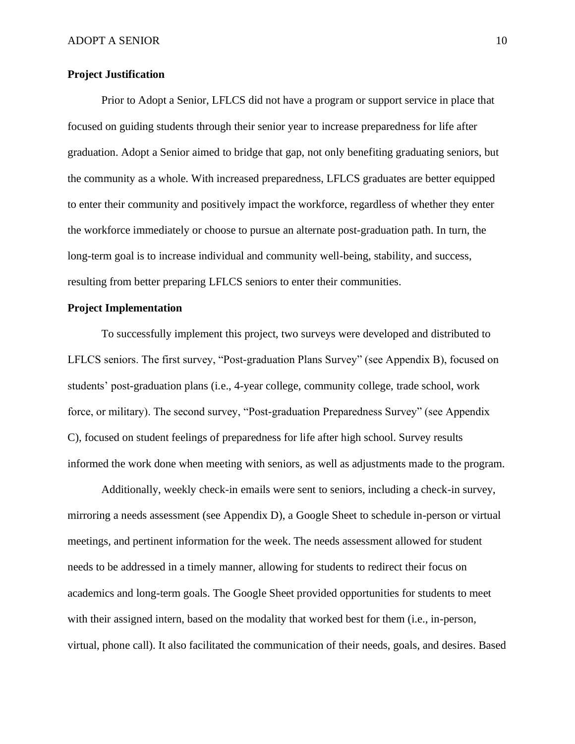#### **Project Justification**

Prior to Adopt a Senior, LFLCS did not have a program or support service in place that focused on guiding students through their senior year to increase preparedness for life after graduation. Adopt a Senior aimed to bridge that gap, not only benefiting graduating seniors, but the community as a whole. With increased preparedness, LFLCS graduates are better equipped to enter their community and positively impact the workforce, regardless of whether they enter the workforce immediately or choose to pursue an alternate post-graduation path. In turn, the long-term goal is to increase individual and community well-being, stability, and success, resulting from better preparing LFLCS seniors to enter their communities.

#### **Project Implementation**

To successfully implement this project, two surveys were developed and distributed to LFLCS seniors. The first survey, "Post-graduation Plans Survey" (see Appendix B), focused on students' post-graduation plans (i.e., 4-year college, community college, trade school, work force, or military). The second survey, "Post-graduation Preparedness Survey" (see Appendix C), focused on student feelings of preparedness for life after high school. Survey results informed the work done when meeting with seniors, as well as adjustments made to the program.

Additionally, weekly check-in emails were sent to seniors, including a check-in survey, mirroring a needs assessment (see Appendix D), a Google Sheet to schedule in-person or virtual meetings, and pertinent information for the week. The needs assessment allowed for student needs to be addressed in a timely manner, allowing for students to redirect their focus on academics and long-term goals. The Google Sheet provided opportunities for students to meet with their assigned intern, based on the modality that worked best for them (i.e., in-person, virtual, phone call). It also facilitated the communication of their needs, goals, and desires. Based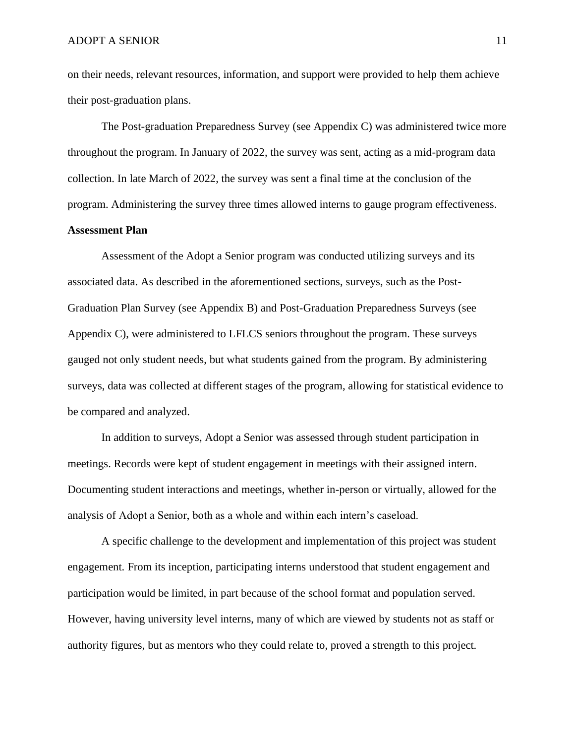on their needs, relevant resources, information, and support were provided to help them achieve their post-graduation plans.

The Post-graduation Preparedness Survey (see Appendix C) was administered twice more throughout the program. In January of 2022, the survey was sent, acting as a mid-program data collection. In late March of 2022, the survey was sent a final time at the conclusion of the program. Administering the survey three times allowed interns to gauge program effectiveness.

### **Assessment Plan**

Assessment of the Adopt a Senior program was conducted utilizing surveys and its associated data. As described in the aforementioned sections, surveys, such as the Post-Graduation Plan Survey (see Appendix B) and Post-Graduation Preparedness Surveys (see Appendix C), were administered to LFLCS seniors throughout the program. These surveys gauged not only student needs, but what students gained from the program. By administering surveys, data was collected at different stages of the program, allowing for statistical evidence to be compared and analyzed.

In addition to surveys, Adopt a Senior was assessed through student participation in meetings. Records were kept of student engagement in meetings with their assigned intern. Documenting student interactions and meetings, whether in-person or virtually, allowed for the analysis of Adopt a Senior, both as a whole and within each intern's caseload.

A specific challenge to the development and implementation of this project was student engagement. From its inception, participating interns understood that student engagement and participation would be limited, in part because of the school format and population served. However, having university level interns, many of which are viewed by students not as staff or authority figures, but as mentors who they could relate to, proved a strength to this project.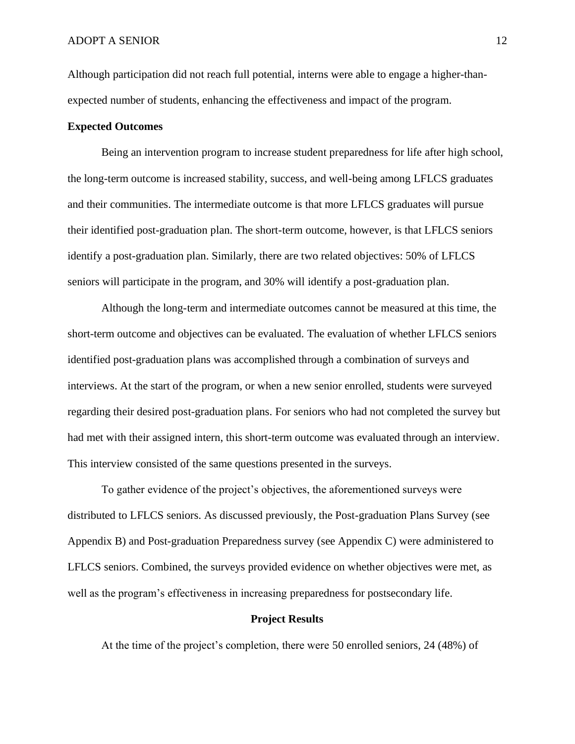Although participation did not reach full potential, interns were able to engage a higher-thanexpected number of students, enhancing the effectiveness and impact of the program.

#### **Expected Outcomes**

Being an intervention program to increase student preparedness for life after high school, the long-term outcome is increased stability, success, and well-being among LFLCS graduates and their communities. The intermediate outcome is that more LFLCS graduates will pursue their identified post-graduation plan. The short-term outcome, however, is that LFLCS seniors identify a post-graduation plan. Similarly, there are two related objectives: 50% of LFLCS seniors will participate in the program, and 30% will identify a post-graduation plan.

Although the long-term and intermediate outcomes cannot be measured at this time, the short-term outcome and objectives can be evaluated. The evaluation of whether LFLCS seniors identified post-graduation plans was accomplished through a combination of surveys and interviews. At the start of the program, or when a new senior enrolled, students were surveyed regarding their desired post-graduation plans. For seniors who had not completed the survey but had met with their assigned intern, this short-term outcome was evaluated through an interview. This interview consisted of the same questions presented in the surveys.

To gather evidence of the project's objectives, the aforementioned surveys were distributed to LFLCS seniors. As discussed previously, the Post-graduation Plans Survey (see Appendix B) and Post-graduation Preparedness survey (see Appendix C) were administered to LFLCS seniors. Combined, the surveys provided evidence on whether objectives were met, as well as the program's effectiveness in increasing preparedness for postsecondary life.

#### **Project Results**

At the time of the project's completion, there were 50 enrolled seniors, 24 (48%) of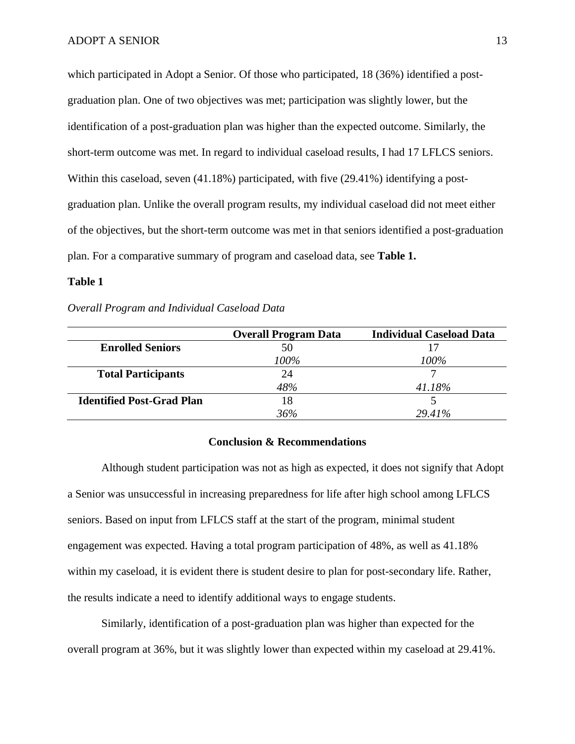which participated in Adopt a Senior. Of those who participated, 18 (36%) identified a postgraduation plan. One of two objectives was met; participation was slightly lower, but the identification of a post-graduation plan was higher than the expected outcome. Similarly, the short-term outcome was met. In regard to individual caseload results, I had 17 LFLCS seniors. Within this caseload, seven (41.18%) participated, with five (29.41%) identifying a postgraduation plan. Unlike the overall program results, my individual caseload did not meet either of the objectives, but the short-term outcome was met in that seniors identified a post-graduation plan. For a comparative summary of program and caseload data, see **Table 1.** 

#### **Table 1**

#### *Overall Program and Individual Caseload Data*

|                                  | <b>Overall Program Data</b> | <b>Individual Caseload Data</b> |
|----------------------------------|-----------------------------|---------------------------------|
| <b>Enrolled Seniors</b>          |                             |                                 |
|                                  | 100%                        | 100%                            |
| <b>Total Participants</b>        | 24                          |                                 |
|                                  | 48%                         | 41.18%                          |
| <b>Identified Post-Grad Plan</b> | 18                          |                                 |
|                                  | 36%                         | 29.41%                          |

#### **Conclusion & Recommendations**

Although student participation was not as high as expected, it does not signify that Adopt a Senior was unsuccessful in increasing preparedness for life after high school among LFLCS seniors. Based on input from LFLCS staff at the start of the program, minimal student engagement was expected. Having a total program participation of 48%, as well as 41.18% within my caseload, it is evident there is student desire to plan for post-secondary life. Rather, the results indicate a need to identify additional ways to engage students.

Similarly, identification of a post-graduation plan was higher than expected for the overall program at 36%, but it was slightly lower than expected within my caseload at 29.41%.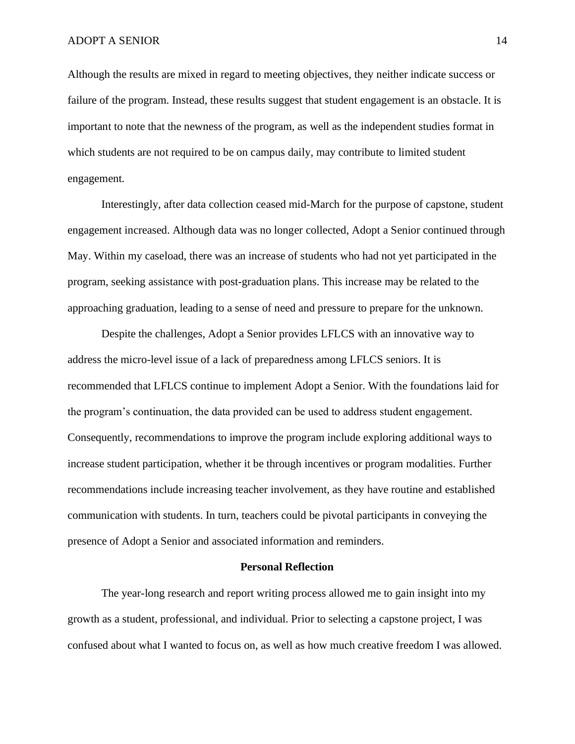Although the results are mixed in regard to meeting objectives, they neither indicate success or failure of the program. Instead, these results suggest that student engagement is an obstacle. It is important to note that the newness of the program, as well as the independent studies format in which students are not required to be on campus daily, may contribute to limited student engagement.

Interestingly, after data collection ceased mid-March for the purpose of capstone, student engagement increased. Although data was no longer collected, Adopt a Senior continued through May. Within my caseload, there was an increase of students who had not yet participated in the program, seeking assistance with post-graduation plans. This increase may be related to the approaching graduation, leading to a sense of need and pressure to prepare for the unknown.

Despite the challenges, Adopt a Senior provides LFLCS with an innovative way to address the micro-level issue of a lack of preparedness among LFLCS seniors. It is recommended that LFLCS continue to implement Adopt a Senior. With the foundations laid for the program's continuation, the data provided can be used to address student engagement. Consequently, recommendations to improve the program include exploring additional ways to increase student participation, whether it be through incentives or program modalities. Further recommendations include increasing teacher involvement, as they have routine and established communication with students. In turn, teachers could be pivotal participants in conveying the presence of Adopt a Senior and associated information and reminders.

#### **Personal Reflection**

The year-long research and report writing process allowed me to gain insight into my growth as a student, professional, and individual. Prior to selecting a capstone project, I was confused about what I wanted to focus on, as well as how much creative freedom I was allowed.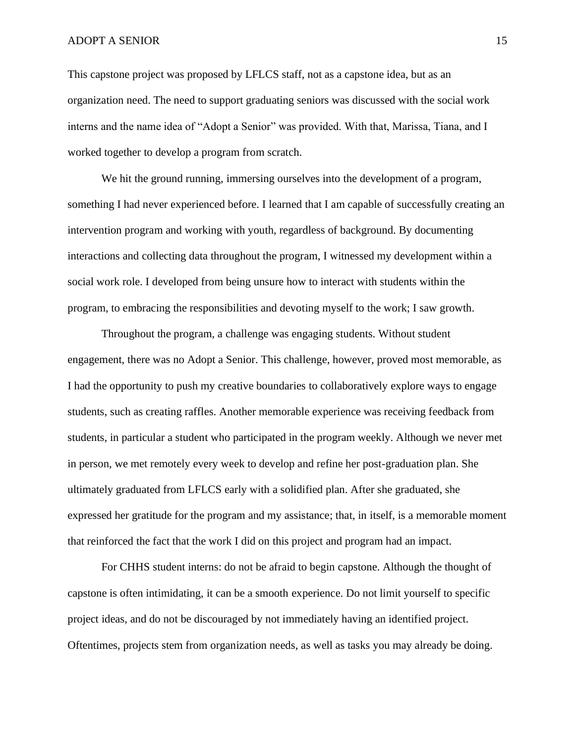This capstone project was proposed by LFLCS staff, not as a capstone idea, but as an organization need. The need to support graduating seniors was discussed with the social work interns and the name idea of "Adopt a Senior" was provided. With that, Marissa, Tiana, and I worked together to develop a program from scratch.

We hit the ground running, immersing ourselves into the development of a program, something I had never experienced before. I learned that I am capable of successfully creating an intervention program and working with youth, regardless of background. By documenting interactions and collecting data throughout the program, I witnessed my development within a social work role. I developed from being unsure how to interact with students within the program, to embracing the responsibilities and devoting myself to the work; I saw growth.

Throughout the program, a challenge was engaging students. Without student engagement, there was no Adopt a Senior. This challenge, however, proved most memorable, as I had the opportunity to push my creative boundaries to collaboratively explore ways to engage students, such as creating raffles. Another memorable experience was receiving feedback from students, in particular a student who participated in the program weekly. Although we never met in person, we met remotely every week to develop and refine her post-graduation plan. She ultimately graduated from LFLCS early with a solidified plan. After she graduated, she expressed her gratitude for the program and my assistance; that, in itself, is a memorable moment that reinforced the fact that the work I did on this project and program had an impact.

For CHHS student interns: do not be afraid to begin capstone. Although the thought of capstone is often intimidating, it can be a smooth experience. Do not limit yourself to specific project ideas, and do not be discouraged by not immediately having an identified project. Oftentimes, projects stem from organization needs, as well as tasks you may already be doing.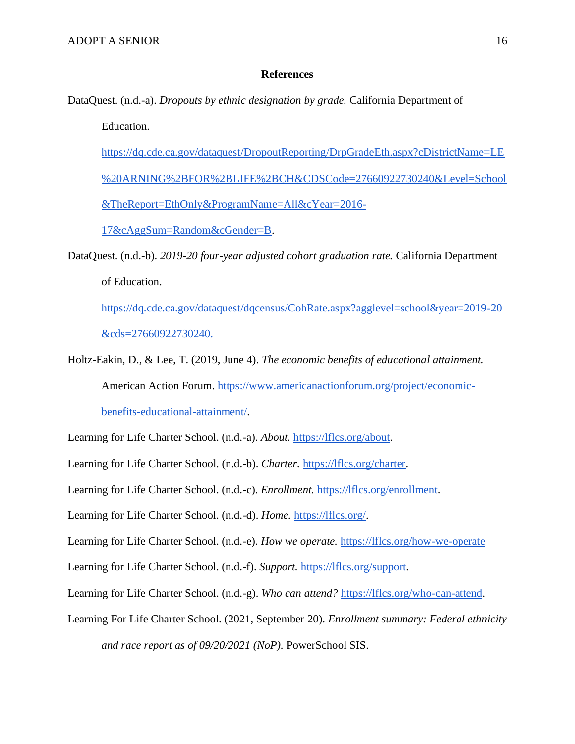#### **References**

DataQuest. (n.d.-a). *Dropouts by ethnic designation by grade.* California Department of

Education.

[https://dq.cde.ca.gov/dataquest/DropoutReporting/DrpGradeEth.aspx?cDistrictName=LE](https://dq.cde.ca.gov/dataquest/DropoutReporting/DrpGradeEth.aspx?cDistrictName=LE%20ARNING%2BFOR%2BLIFE%2BCH&CDSCode=27660922730240&Level=School&TheReport=EthOnly&ProgramName=All&cYear=2016-17&cAggSum=Random&cGender=B) [%20ARNING%2BFOR%2BLIFE%2BCH&CDSCode=27660922730240&Level=School](https://dq.cde.ca.gov/dataquest/DropoutReporting/DrpGradeEth.aspx?cDistrictName=LE%20ARNING%2BFOR%2BLIFE%2BCH&CDSCode=27660922730240&Level=School&TheReport=EthOnly&ProgramName=All&cYear=2016-17&cAggSum=Random&cGender=B) [&TheReport=EthOnly&ProgramName=All&cYear=2016-](https://dq.cde.ca.gov/dataquest/DropoutReporting/DrpGradeEth.aspx?cDistrictName=LE%20ARNING%2BFOR%2BLIFE%2BCH&CDSCode=27660922730240&Level=School&TheReport=EthOnly&ProgramName=All&cYear=2016-17&cAggSum=Random&cGender=B) [17&cAggSum=Random&cGender=B.](https://dq.cde.ca.gov/dataquest/DropoutReporting/DrpGradeEth.aspx?cDistrictName=LE%20ARNING%2BFOR%2BLIFE%2BCH&CDSCode=27660922730240&Level=School&TheReport=EthOnly&ProgramName=All&cYear=2016-17&cAggSum=Random&cGender=B)

DataQuest. (n.d.-b). *2019-20 four-year adjusted cohort graduation rate.* California Department of Education.

<https://dq.cde.ca.gov/dataquest/dqcensus/CohRate.aspx?agglevel=school&year=2019-20> [&cds=27660922730240.](https://dq.cde.ca.gov/dataquest/dqcensus/CohRate.aspx?agglevel=school&year=2019-20) 

Holtz-Eakin, D., & Lee, T. (2019, June 4). *The economic benefits of educational attainment[.](https://www.americanactionforum.org/project/economic-benefits-educational-attainment/)* [American Action Forum. https://www.americanactionforum.org/project/economic](https://www.americanactionforum.org/project/economic-benefits-educational-attainment/)[benefits-educational-attainment/.](https://www.americanactionforum.org/project/economic-benefits-educational-attainment/)

Learning for Life Charter School. (n.d.-a). *About.* [https://lflcs.org/about.](https://lflcs.org/about)

Learning for Life Charter School. (n.d.-b). *Charter.* [https://lflcs.org/charter.](https://lflcs.org/charter)

Learning for Life Charter School. (n.d.-c). *Enrollment.* [https://lflcs.org/enrollment.](https://lflcs.org/enrollment)

Learning for Life Charter School. (n.d.-d). *Home.* [https://lflcs.org/.](https://lflcs.org/)

Learning for Life Charter School. (n.d.-e). *How we operate.* <https://lflcs.org/how-we-operate>

Learning for Life Charter School. (n.d.-f). *Support.* [https://lflcs.org/support.](https://lflcs.org/support)

Learning for Life Charter School. (n.d.-g). *Who can attend?* [https://lflcs.org/who-can-attend.](https://lflcs.org/who-can-attend)

Learning For Life Charter School. (2021, September 20). *Enrollment summary: Federal ethnicity and race report as of 09/20/2021 (NoP).* PowerSchool SIS.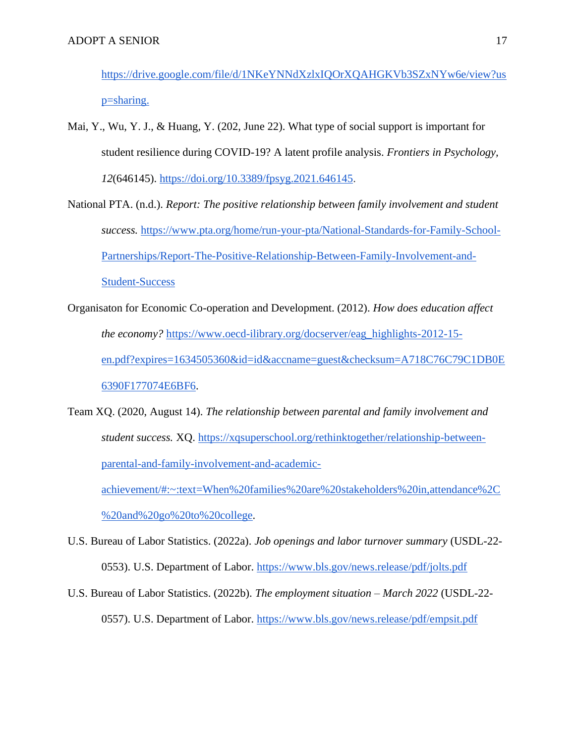<https://drive.google.com/file/d/1NKeYNNdXzlxIQOrXQAHGKVb3SZxNYw6e/view?us> [p=sharing.](https://drive.google.com/file/d/1NKeYNNdXzlxIQOrXQAHGKVb3SZxNYw6e/view?us) 

- Mai, Y., Wu, Y. J., & Huang, Y. (202, June 22). What type of social support is important for student resilience during COVID-19? A latent profile analysis. *Frontiers in Psychology, 12*(646145). [https://doi.org/10.3389/fpsyg.2021.646145.](https://doi.org/10.3389/fpsyg.2021.646145)
- National PTA. (n.d.). *Report: The positive relationship between family involvement and student success.* [https://www.pta.org/home/run-your-pta/National-Standards-for-Family-School-](https://www.pta.org/home/run-your-pta/National-Standards-for-Family-School-Partnerships/Report-The-Positive-Relationship-Between-Family-Involvement-and-Student-Success)[Partnerships/Report-The-Positive-Relationship-Between-Family-Involvement-and-](https://www.pta.org/home/run-your-pta/National-Standards-for-Family-School-Partnerships/Report-The-Positive-Relationship-Between-Family-Involvement-and-Student-Success)[Student-Success](https://www.pta.org/home/run-your-pta/National-Standards-for-Family-School-Partnerships/Report-The-Positive-Relationship-Between-Family-Involvement-and-Student-Success)
- Organisaton for Economic Co-operation and Development. (2012). *How does education affect the economy?* [https://www.oecd-ilibrary.org/docserver/eag\\_highlights-2012-15](https://www.oecd-ilibrary.org/docserver/eag_highlights-2012-15-en.pdf?expires=1634505360&id=id&accname=guest&checksum=A718C76C79C1DB0E6390F177074E6BF6) [en.pdf?expires=1634505360&id=id&accname=guest&checksum=A718C76C79C1DB0E](https://www.oecd-ilibrary.org/docserver/eag_highlights-2012-15-en.pdf?expires=1634505360&id=id&accname=guest&checksum=A718C76C79C1DB0E6390F177074E6BF6) [6390F177074E6BF6.](https://www.oecd-ilibrary.org/docserver/eag_highlights-2012-15-en.pdf?expires=1634505360&id=id&accname=guest&checksum=A718C76C79C1DB0E6390F177074E6BF6)
- Team XQ. (2020, August 14). *The relationship between parental and family involvement and student success.* XQ. [https://xqsuperschool.org/rethinktogether/relationship-between](https://xqsuperschool.org/rethinktogether/relationship-between-parental-and-family-involvement-and-academic-achievement/#:~:text=When%20families%20are%20stakeholders%20in,attendance%2C%20and%20go%20to%20college)[parental-and-family-involvement-and-academic](https://xqsuperschool.org/rethinktogether/relationship-between-parental-and-family-involvement-and-academic-achievement/#:~:text=When%20families%20are%20stakeholders%20in,attendance%2C%20and%20go%20to%20college)[achievement/#:~:text=When%20families%20are%20stakeholders%20in,attendance%2C](https://xqsuperschool.org/rethinktogether/relationship-between-parental-and-family-involvement-and-academic-achievement/#:~:text=When%20families%20are%20stakeholders%20in,attendance%2C%20and%20go%20to%20college)

[%20and%20go%20to%20college.](https://xqsuperschool.org/rethinktogether/relationship-between-parental-and-family-involvement-and-academic-achievement/#:~:text=When%20families%20are%20stakeholders%20in,attendance%2C%20and%20go%20to%20college)

- U.S. Bureau of Labor Statistics. (2022a). *Job openings and labor turnover summary* (USDL-22- 0553). U.S. Department of Labor.<https://www.bls.gov/news.release/pdf/jolts.pdf>
- U.S. Bureau of Labor Statistics. (2022b). *The employment situation – March 2022* (USDL-22- 0557). U.S. Department of Labor.<https://www.bls.gov/news.release/pdf/empsit.pdf>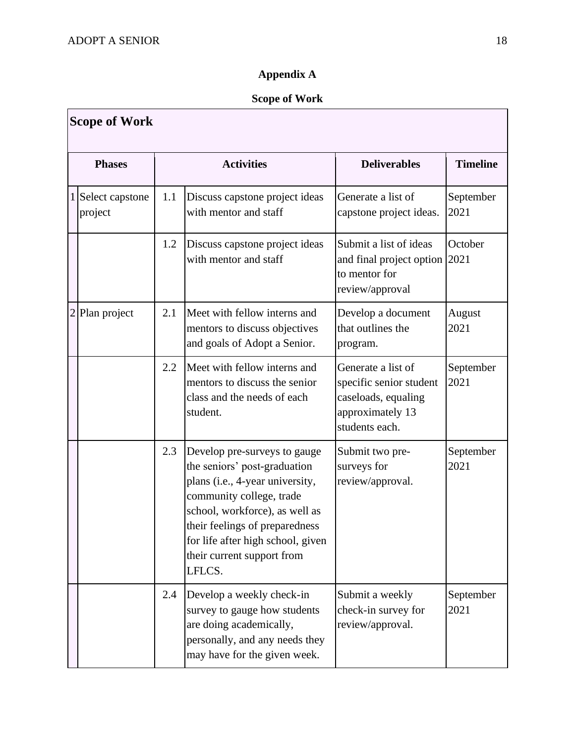## **Appendix A**

## **Scope of Work**

|               | <b>Scope of Work</b>       |     |                                                                                                                                                                                                                                                                              |                                                                                                            |                   |
|---------------|----------------------------|-----|------------------------------------------------------------------------------------------------------------------------------------------------------------------------------------------------------------------------------------------------------------------------------|------------------------------------------------------------------------------------------------------------|-------------------|
|               | <b>Phases</b>              |     | <b>Activities</b>                                                                                                                                                                                                                                                            | <b>Deliverables</b>                                                                                        | <b>Timeline</b>   |
| $\frac{1}{2}$ | Select capstone<br>project | 1.1 | Discuss capstone project ideas<br>with mentor and staff                                                                                                                                                                                                                      | Generate a list of<br>capstone project ideas.                                                              | September<br>2021 |
|               |                            | 1.2 | Discuss capstone project ideas<br>with mentor and staff                                                                                                                                                                                                                      | Submit a list of ideas<br>and final project option<br>to mentor for<br>review/approval                     | October<br>2021   |
| 2             | Plan project               | 2.1 | Meet with fellow interns and<br>mentors to discuss objectives<br>and goals of Adopt a Senior.                                                                                                                                                                                | Develop a document<br>that outlines the<br>program.                                                        | August<br>2021    |
|               |                            | 2.2 | Meet with fellow interns and<br>mentors to discuss the senior<br>class and the needs of each<br>student.                                                                                                                                                                     | Generate a list of<br>specific senior student<br>caseloads, equaling<br>approximately 13<br>students each. | September<br>2021 |
|               |                            | 2.3 | Develop pre-surveys to gauge<br>the seniors' post-graduation<br>plans (i.e., 4-year university,<br>community college, trade<br>school, workforce), as well as<br>their feelings of preparedness<br>for life after high school, given<br>their current support from<br>LFLCS. | Submit two pre-<br>surveys for<br>review/approval.                                                         | September<br>2021 |
|               |                            | 2.4 | Develop a weekly check-in<br>survey to gauge how students<br>are doing academically,<br>personally, and any needs they<br>may have for the given week.                                                                                                                       | Submit a weekly<br>check-in survey for<br>review/approval.                                                 | September<br>2021 |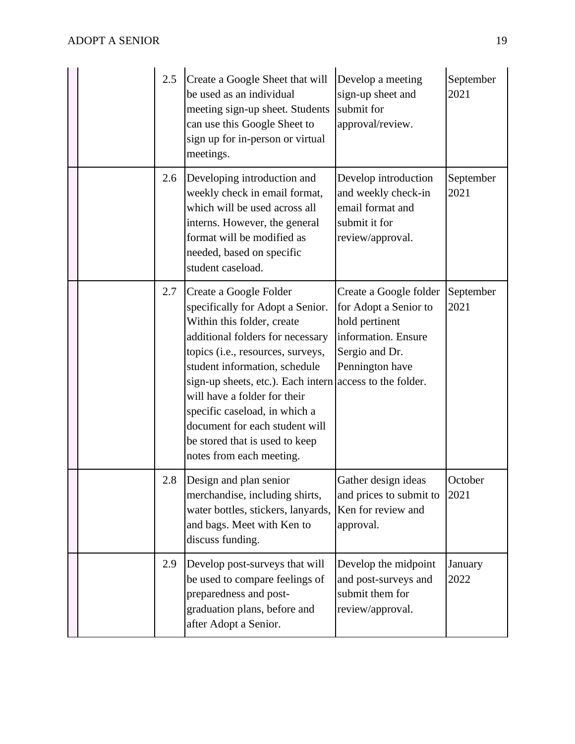|  | 2.5 | Create a Google Sheet that will<br>be used as an individual<br>meeting sign-up sheet. Students<br>can use this Google Sheet to<br>sign up for in-person or virtual<br>meetings.                                                                                                                                                                                                                                                 | Develop a meeting<br>sign-up sheet and<br>submit for<br>approval/review.                                                      | September<br>2021 |
|--|-----|---------------------------------------------------------------------------------------------------------------------------------------------------------------------------------------------------------------------------------------------------------------------------------------------------------------------------------------------------------------------------------------------------------------------------------|-------------------------------------------------------------------------------------------------------------------------------|-------------------|
|  | 2.6 | Developing introduction and<br>weekly check in email format,<br>which will be used across all<br>interns. However, the general<br>format will be modified as<br>needed, based on specific<br>student caseload.                                                                                                                                                                                                                  | Develop introduction<br>and weekly check-in<br>email format and<br>submit it for<br>review/approval.                          | September<br>2021 |
|  | 2.7 | Create a Google Folder<br>specifically for Adopt a Senior.<br>Within this folder, create<br>additional folders for necessary<br>topics (i.e., resources, surveys,<br>student information, schedule<br>sign-up sheets, etc.). Each intern access to the folder.<br>will have a folder for their<br>specific caseload, in which a<br>document for each student will<br>be stored that is used to keep<br>notes from each meeting. | Create a Google folder<br>for Adopt a Senior to<br>hold pertinent<br>information. Ensure<br>Sergio and Dr.<br>Pennington have | September<br>2021 |
|  | 2.8 | Design and plan senior<br>merchandise, including shirts,<br>water bottles, stickers, lanyards,<br>and bags. Meet with Ken to<br>discuss funding.                                                                                                                                                                                                                                                                                | Gather design ideas<br>and prices to submit to<br>Ken for review and<br>approval.                                             | October<br>2021   |
|  | 2.9 | Develop post-surveys that will<br>be used to compare feelings of<br>preparedness and post-<br>graduation plans, before and<br>after Adopt a Senior.                                                                                                                                                                                                                                                                             | Develop the midpoint<br>and post-surveys and<br>submit them for<br>review/approval.                                           | January<br>2022   |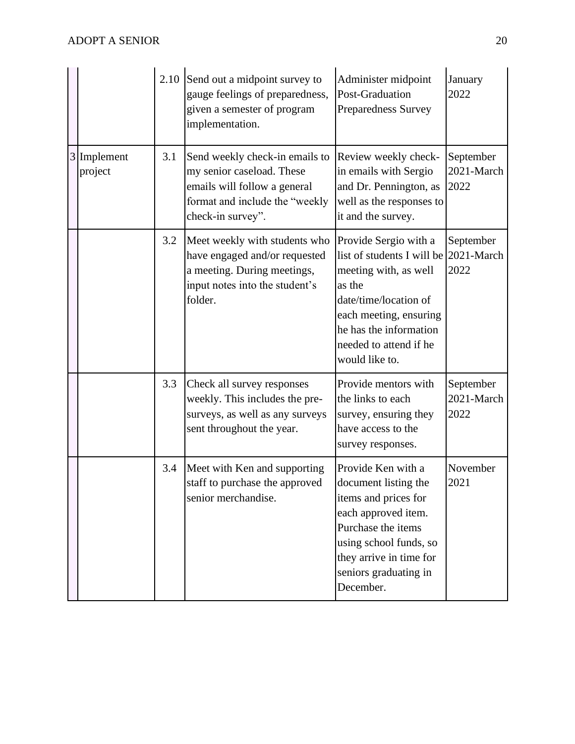|                        |     | 2.10 Send out a midpoint survey to<br>gauge feelings of preparedness,<br>given a semester of program<br>implementation.                            | Administer midpoint<br>Post-Graduation<br><b>Preparedness Survey</b>                                                                                                                                            | January<br>2022                 |
|------------------------|-----|----------------------------------------------------------------------------------------------------------------------------------------------------|-----------------------------------------------------------------------------------------------------------------------------------------------------------------------------------------------------------------|---------------------------------|
| 3 Implement<br>project | 3.1 | Send weekly check-in emails to<br>my senior caseload. These<br>emails will follow a general<br>format and include the "weekly<br>check-in survey". | Review weekly check-<br>in emails with Sergio<br>and Dr. Pennington, as<br>well as the responses to<br>it and the survey.                                                                                       | September<br>2021-March<br>2022 |
|                        | 3.2 | Meet weekly with students who<br>have engaged and/or requested<br>a meeting. During meetings,<br>input notes into the student's<br>folder.         | Provide Sergio with a<br>list of students I will be<br>meeting with, as well<br>as the<br>date/time/location of<br>each meeting, ensuring<br>he has the information<br>needed to attend if he<br>would like to. | September<br>2021-March<br>2022 |
|                        | 3.3 | Check all survey responses<br>weekly. This includes the pre-<br>surveys, as well as any surveys<br>sent throughout the year.                       | Provide mentors with<br>the links to each<br>survey, ensuring they<br>have access to the<br>survey responses.                                                                                                   | September<br>2021-March<br>2022 |
|                        | 3.4 | Meet with Ken and supporting<br>staff to purchase the approved<br>senior merchandise.                                                              | Provide Ken with a<br>document listing the<br>items and prices for<br>each approved item.<br>Purchase the items<br>using school funds, so<br>they arrive in time for<br>seniors graduating in<br>December.      | November<br>2021                |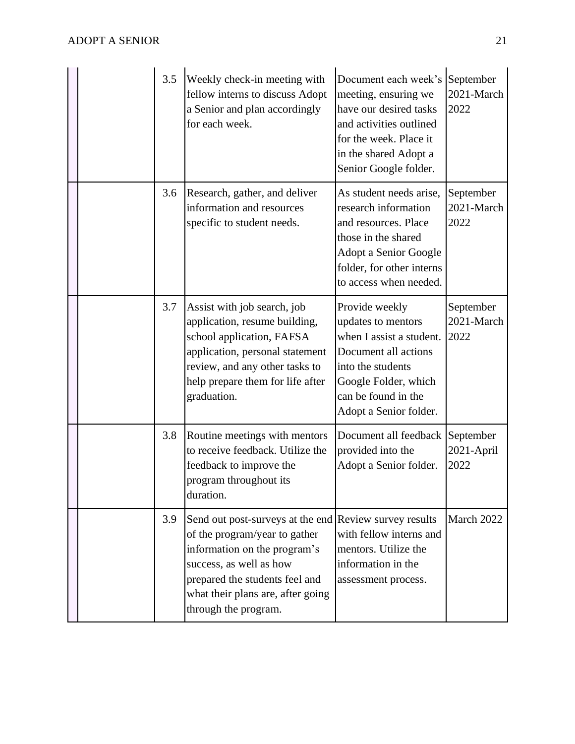|  | 3.5 | Weekly check-in meeting with<br>fellow interns to discuss Adopt<br>a Senior and plan accordingly<br>for each week.                                                                                                                                | Document each week's September<br>meeting, ensuring we<br>have our desired tasks<br>and activities outlined<br>for the week. Place it<br>in the shared Adopt a<br>Senior Google folder. | 2021-March<br>2022              |
|--|-----|---------------------------------------------------------------------------------------------------------------------------------------------------------------------------------------------------------------------------------------------------|-----------------------------------------------------------------------------------------------------------------------------------------------------------------------------------------|---------------------------------|
|  | 3.6 | Research, gather, and deliver<br>information and resources<br>specific to student needs.                                                                                                                                                          | As student needs arise,<br>research information<br>and resources. Place<br>those in the shared<br>Adopt a Senior Google<br>folder, for other interns<br>to access when needed.          | September<br>2021-March<br>2022 |
|  | 3.7 | Assist with job search, job<br>application, resume building,<br>school application, FAFSA<br>application, personal statement<br>review, and any other tasks to<br>help prepare them for life after<br>graduation.                                 | Provide weekly<br>updates to mentors<br>when I assist a student.<br>Document all actions<br>into the students<br>Google Folder, which<br>can be found in the<br>Adopt a Senior folder.  | September<br>2021-March<br>2022 |
|  | 3.8 | Routine meetings with mentors<br>to receive feedback. Utilize the<br>feedback to improve the<br>program throughout its<br>duration.                                                                                                               | Document all feedback<br>provided into the<br>Adopt a Senior folder.                                                                                                                    | September<br>2021-April<br>2022 |
|  | 3.9 | Send out post-surveys at the end Review survey results<br>of the program/year to gather<br>information on the program's<br>success, as well as how<br>prepared the students feel and<br>what their plans are, after going<br>through the program. | with fellow interns and<br>mentors. Utilize the<br>information in the<br>assessment process.                                                                                            | March 2022                      |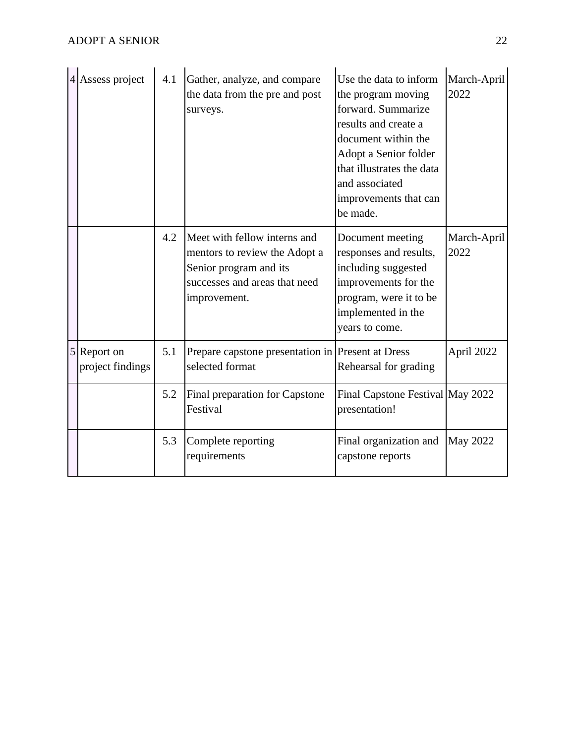| 4 Assess project                | 4.1 | Gather, analyze, and compare<br>the data from the pre and post<br>surveys.                                                               | Use the data to inform<br>the program moving<br>forward. Summarize<br>results and create a<br>document within the<br>Adopt a Senior folder<br>that illustrates the data<br>and associated<br>improvements that can<br>be made. | March-April<br>2022 |
|---------------------------------|-----|------------------------------------------------------------------------------------------------------------------------------------------|--------------------------------------------------------------------------------------------------------------------------------------------------------------------------------------------------------------------------------|---------------------|
|                                 | 4.2 | Meet with fellow interns and<br>mentors to review the Adopt a<br>Senior program and its<br>successes and areas that need<br>improvement. | Document meeting<br>responses and results,<br>including suggested<br>improvements for the<br>program, were it to be<br>implemented in the<br>years to come.                                                                    | March-April<br>2022 |
| 5 Report on<br>project findings | 5.1 | Prepare capstone presentation in Present at Dress<br>selected format                                                                     | Rehearsal for grading                                                                                                                                                                                                          | April 2022          |
|                                 | 5.2 | Final preparation for Capstone<br>Festival                                                                                               | Final Capstone Festival May 2022<br>presentation!                                                                                                                                                                              |                     |
|                                 | 5.3 | Complete reporting<br>requirements                                                                                                       | Final organization and<br>capstone reports                                                                                                                                                                                     | <b>May 2022</b>     |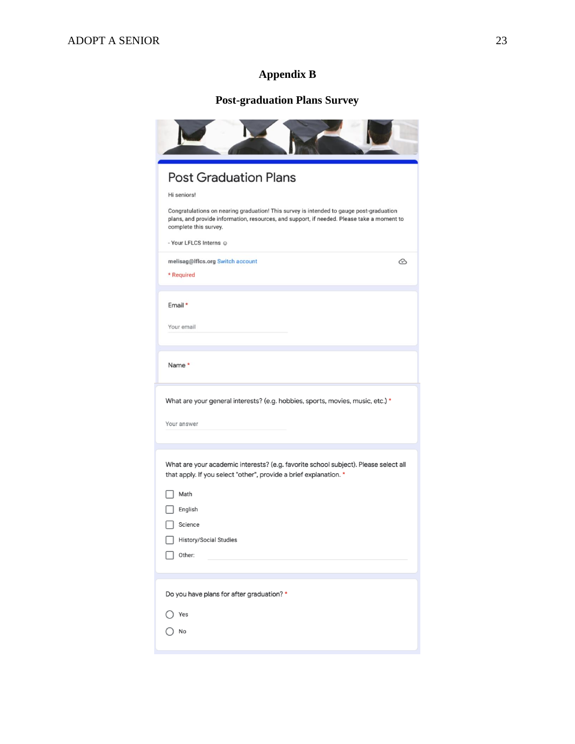## **Appendix B**

## **Post-graduation Plans Survey**

| <b>Post Graduation Plans</b>                                                                                                                                                                                   |
|----------------------------------------------------------------------------------------------------------------------------------------------------------------------------------------------------------------|
| Hi seniors!                                                                                                                                                                                                    |
| Congratulations on nearing graduation! This survey is intended to gauge post-graduation<br>plans, and provide information, resources, and support, if needed. Please take a moment to<br>complete this survey. |
| - Your LFLCS Interns @                                                                                                                                                                                         |
| melisag@lflcs.org Switch account<br>ⓒ<br>* Required                                                                                                                                                            |
| Email *                                                                                                                                                                                                        |
| Your email                                                                                                                                                                                                     |
| Name*                                                                                                                                                                                                          |
| What are your general interests? (e.g. hobbies, sports, movies, music, etc.) *                                                                                                                                 |
| Your answer                                                                                                                                                                                                    |
|                                                                                                                                                                                                                |
| What are your academic interests? (e.g. favorite school subject). Please select all<br>that apply. If you select "other", provide a brief explanation. *                                                       |
| Math                                                                                                                                                                                                           |
| English                                                                                                                                                                                                        |
| Science                                                                                                                                                                                                        |
| <b>History/Social Studies</b>                                                                                                                                                                                  |
| Other:                                                                                                                                                                                                         |
| Do you have plans for after graduation? *                                                                                                                                                                      |
| Yes                                                                                                                                                                                                            |
|                                                                                                                                                                                                                |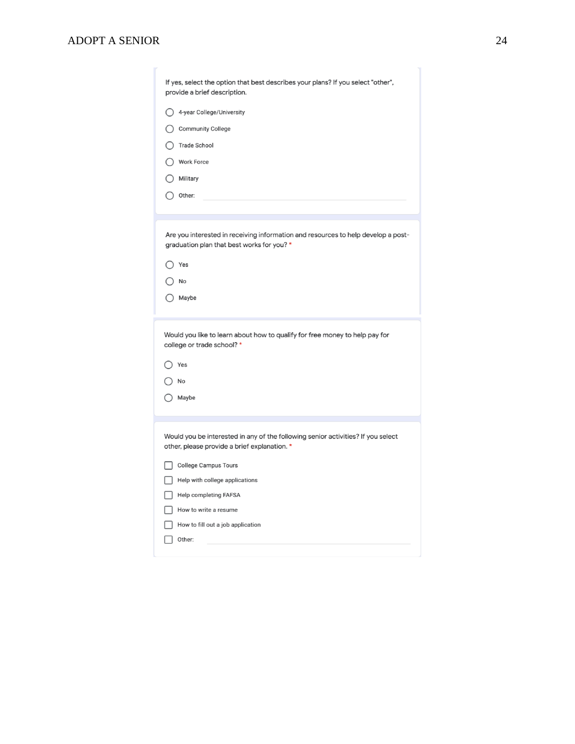| If yes, select the option that best describes your plans? If you select "other",<br>provide a brief description.                 |
|----------------------------------------------------------------------------------------------------------------------------------|
| ◯ 4-year College/University                                                                                                      |
| ◯ Community College                                                                                                              |
| <b>Trade School</b>                                                                                                              |
| Work Force                                                                                                                       |
| Military                                                                                                                         |
| Other:                                                                                                                           |
|                                                                                                                                  |
| Are you interested in receiving information and resources to help develop a post-<br>graduation plan that best works for you? *  |
| Yes                                                                                                                              |
| No                                                                                                                               |
| () Maybe                                                                                                                         |
| Would you like to learn about how to qualify for free money to help pay for<br>college or trade school? *                        |
| Yes                                                                                                                              |
| No                                                                                                                               |
| Maybe                                                                                                                            |
|                                                                                                                                  |
| Would you be interested in any of the following senior activities? If you select<br>other, please provide a brief explanation. * |
| <b>College Campus Tours</b>                                                                                                      |
| Help with college applications                                                                                                   |
| Help completing FAFSA                                                                                                            |
| How to write a resume                                                                                                            |
| How to fill out a job application                                                                                                |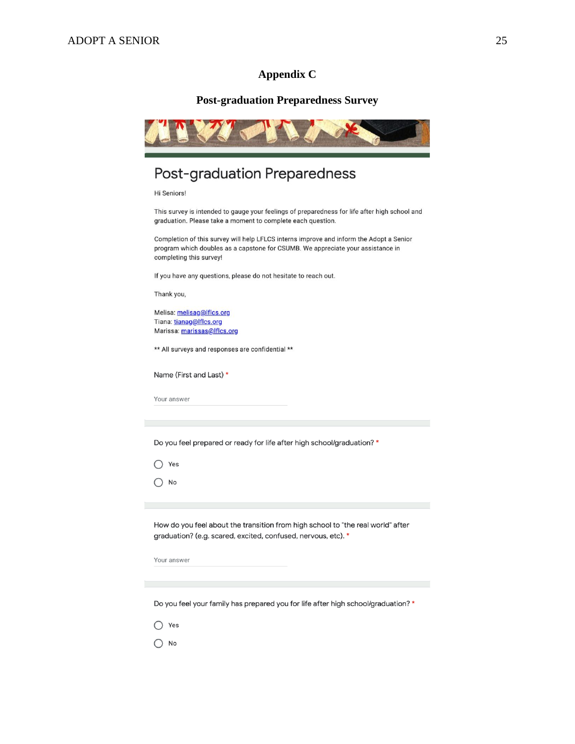#### **Appendix C**

#### **Post-graduation Preparedness Survey**

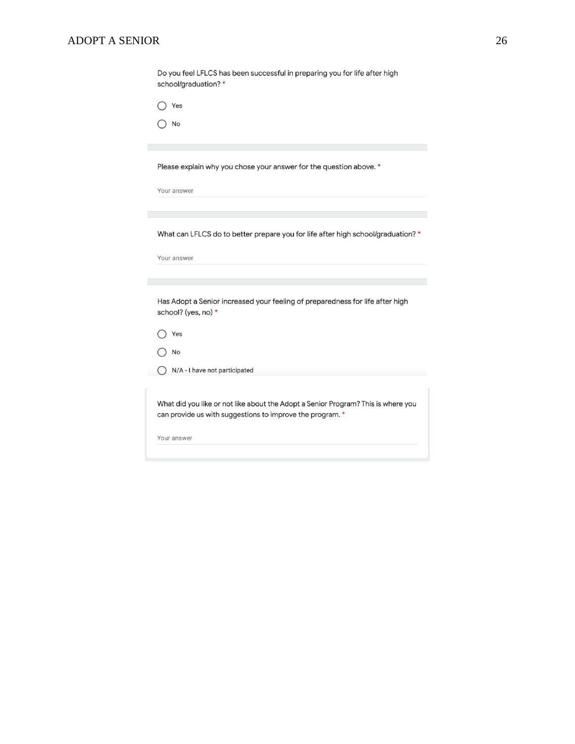| Do you feel LFLCS has been successful in preparing you for life after high<br>school/graduation?*                                              |
|------------------------------------------------------------------------------------------------------------------------------------------------|
| Yes                                                                                                                                            |
| No                                                                                                                                             |
| Please explain why you chose your answer for the question above. *                                                                             |
| Your answer                                                                                                                                    |
|                                                                                                                                                |
| What can LFLCS do to better prepare you for life after high school/graduation? *                                                               |
| Your answer                                                                                                                                    |
|                                                                                                                                                |
| Has Adopt a Senior increased your feeling of preparedness for life after high<br>school? (yes, no) *                                           |
| Yes                                                                                                                                            |
| No                                                                                                                                             |
| N/A - I have not participated                                                                                                                  |
|                                                                                                                                                |
| What did you like or not like about the Adopt a Senior Program? This is where you<br>can provide us with suggestions to improve the program. * |
| Your answer                                                                                                                                    |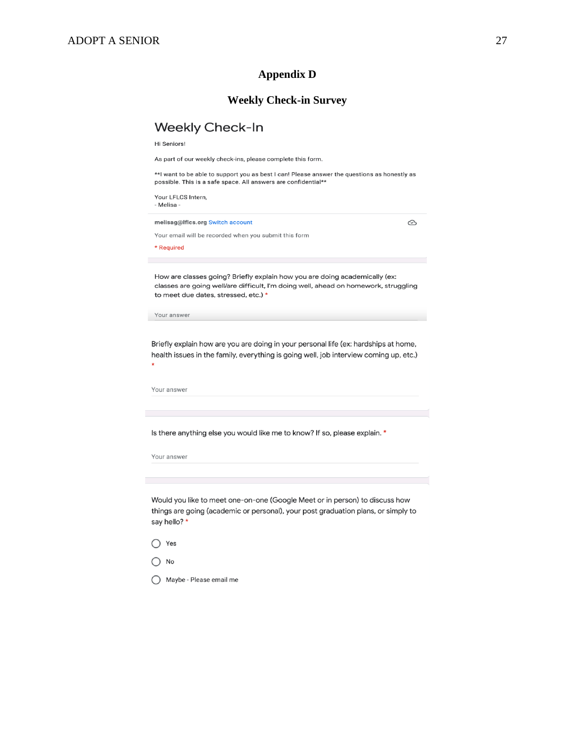## **Appendix D**

## **Weekly Check-in Survey**

## Weekly Check-In

Hi Seniors!

As part of our weekly check-ins, please complete this form.

\*\*| want to be able to support you as best I can! Please answer the questions as honestly as<br>possible. This is a safe space. All answers are confidential\*\*

| Your LFLCS Intern,<br>- Melisa -                                                                                                                                                                          |
|-----------------------------------------------------------------------------------------------------------------------------------------------------------------------------------------------------------|
| melisag@lflcs.org Switch account<br>∞                                                                                                                                                                     |
| Your email will be recorded when you submit this form                                                                                                                                                     |
| * Required                                                                                                                                                                                                |
|                                                                                                                                                                                                           |
| How are classes going? Briefly explain how you are doing academically (ex:<br>classes are going well/are difficult, I'm doing well, ahead on homework, struggling<br>to meet due dates, stressed, etc.) * |
| Your answer                                                                                                                                                                                               |
| Briefly explain how are you are doing in your personal life (ex: hardships at home,<br>health issues in the family, everything is going well, job interview coming up, etc.)                              |
| Your answer                                                                                                                                                                                               |
|                                                                                                                                                                                                           |
|                                                                                                                                                                                                           |
| Is there anything else you would like me to know? If so, please explain. *                                                                                                                                |
| Your answer                                                                                                                                                                                               |
|                                                                                                                                                                                                           |
|                                                                                                                                                                                                           |
| Would you like to meet one-on-one (Google Meet or in person) to discuss how<br>things are going (academic or personal), your post graduation plans, or simply to<br>say hello? *                          |
| Yes                                                                                                                                                                                                       |
|                                                                                                                                                                                                           |

◯ Maybe - Please email me